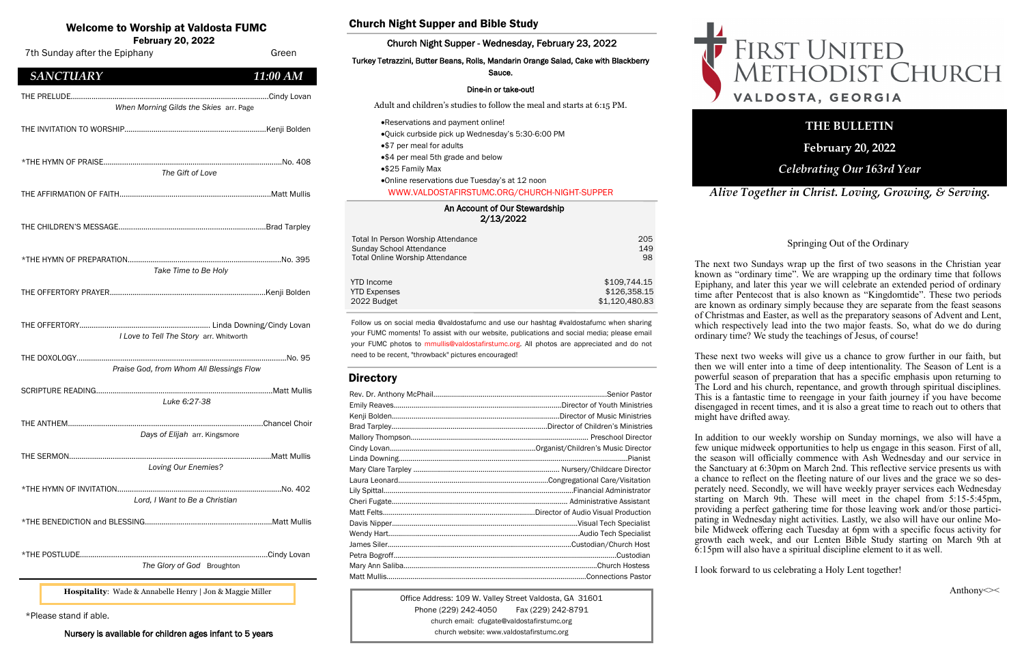## An Account of Our Stewardship

2/13/2022

| Total In Person Worship Attendance     | 205            |
|----------------------------------------|----------------|
| Sunday School Attendance               | 149            |
| <b>Total Online Worship Attendance</b> | 98             |
| <b>YTD</b> Income                      | \$109,744.15   |
| <b>YTD Expenses</b>                    | \$126,358.15   |
| 2022 Budget                            | \$1,120,480.83 |

## Welcome to Worship at Valdosta FUMC

February 20, 2022

Office Address: 109 W. Valley Street Valdosta, GA 31601 Phone (229) 242-4050 Fax (229) 242-8791 church email: cfugate@valdostafirstumc.org church website: www.valdostafirstumc.org



*Alive Together in Christ. Loving, Growing, & Serving.*

## **THE BULLETIN**

**February 20, 2022**

## *Celebrating Our 163rd Year*

Follow us on social media @valdostafumc and use our hashtag #valdostafumc when sharing your FUMC moments! To assist with our website, publications and social media; please email your FUMC photos to mmullis@valdostafirstumc.org. All photos are appreciated and do not need to be recent, "throwback" pictures encouraged!

## **Directory**

| 7th Sunday after the Epiphany                             | Green         |
|-----------------------------------------------------------|---------------|
| <b>SANCTUARY</b>                                          | 11:00 AM      |
| When Morning Gilds the Skies arr. Page                    |               |
|                                                           |               |
| The Gift of Love                                          |               |
|                                                           |               |
|                                                           |               |
| Take Time to Be Holy                                      |               |
|                                                           |               |
| I Love to Tell The Story arr. Whitworth                   |               |
| Praise God, from Whom All Blessings Flow                  |               |
| Luke 6:27-38                                              |               |
| THE ANTHEM<br>Days of Elijah arr. Kingsmore               | Chancel Choir |
| Loving Our Enemies?                                       |               |
| Lord, I Want to Be a Christian                            |               |
|                                                           |               |
| The Glory of God Broughton                                |               |
| Hospitality: Wade & Annabelle Henry   Jon & Maggie Miller |               |

## Church Night Supper and Bible Study

## Church Night Supper - Wednesday, February 23, 2022

#### Turkey Tetrazzini, Butter Beans, Rolls, Mandarin Orange Salad, Cake with Blackberry Sauce.

#### Dine-in or take-out!

Adult and children's studies to follow the meal and starts at 6:15 PM.

- •Reservations and payment online!
- •Quick curbside pick up Wednesday's 5:30-6:00 PM
- •\$7 per meal for adults
- •\$4 per meal 5th grade and below
- •\$25 Family Max
- •Online reservations due Tuesday's at 12 noon WWW.VALDOSTAFIRSTUMC.ORG/CHURCH-NIGHT-SUPPER

\*Please stand if able.

Nursery is available for children ages infant to 5 years

#### Springing Out of the Ordinary

Anthony $\ll$ 

The next two Sundays wrap up the first of two seasons in the Christian year known as "ordinary time". We are wrapping up the ordinary time that follows Epiphany, and later this year we will celebrate an extended period of ordinary time after Pentecost that is also known as "Kingdomtide". These two periods are known as ordinary simply because they are separate from the feast seasons of Christmas and Easter, as well as the preparatory seasons of Advent and Lent, which respectively lead into the two major feasts. So, what do we do during ordinary time? We study the teachings of Jesus, of course!

These next two weeks will give us a chance to grow further in our faith, but then we will enter into a time of deep intentionality. The Season of Lent is a powerful season of preparation that has a specific emphasis upon returning to The Lord and his church, repentance, and growth through spiritual disciplines. This is a fantastic time to reengage in your faith journey if you have become disengaged in recent times, and it is also a great time to reach out to others that might have drifted away.

In addition to our weekly worship on Sunday mornings, we also will have a few unique midweek opportunities to help us engage in this season. First of all, the season will officially commence with Ash Wednesday and our service in the Sanctuary at 6:30pm on March 2nd. This reflective service presents us with a chance to reflect on the fleeting nature of our lives and the grace we so desperately need. Secondly, we will have weekly prayer services each Wednesday starting on March 9th. These will meet in the chapel from 5:15-5:45pm, providing a perfect gathering time for those leaving work and/or those participating in Wednesday night activities. Lastly, we also will have our online Mobile Midweek offering each Tuesday at 6pm with a specific focus activity for growth each week, and our Lenten Bible Study starting on March 9th at 6:15pm will also have a spiritual discipline element to it as well.

I look forward to us celebrating a Holy Lent together!

# FIRST UNITED<br>METHODIST CHURCH VALDOSTA, GEORGIA